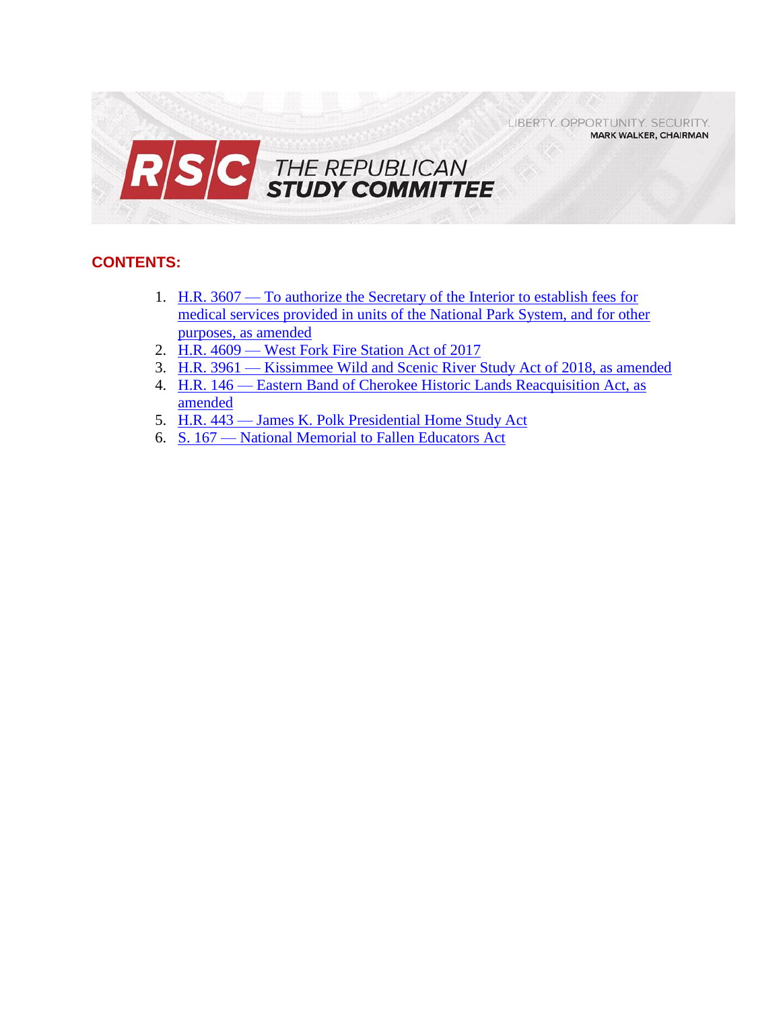LIBERTY. OPPORTUNITY. SECURITY. **MARK WALKER, CHAIRMAN** 



# **CONTENTS:**

- 1. H.R. 3607 [To authorize the Secretary of the Interior to establish fees for](#page-1-0)  [medical services provided in units of the National Park System, and for other](#page-1-0)  [purposes, as amended](#page-1-0)
- 2. H.R. 4609 [West Fork Fire Station Act of 2017](#page-3-0)
- 3. H.R. 3961 [Kissimmee Wild and Scenic River Study Act of 2018, as amended](#page-5-0)
- 4. H.R. 146 [Eastern Band of Cherokee Historic Lands Reacquisition Act, as](#page-7-0)  [amended](#page-7-0)
- 5. H.R. 443 [James K. Polk Presidential Home Study Act](#page-9-0)
- 6. S. 167 [National Memorial to Fallen Educators Act](#page-11-0)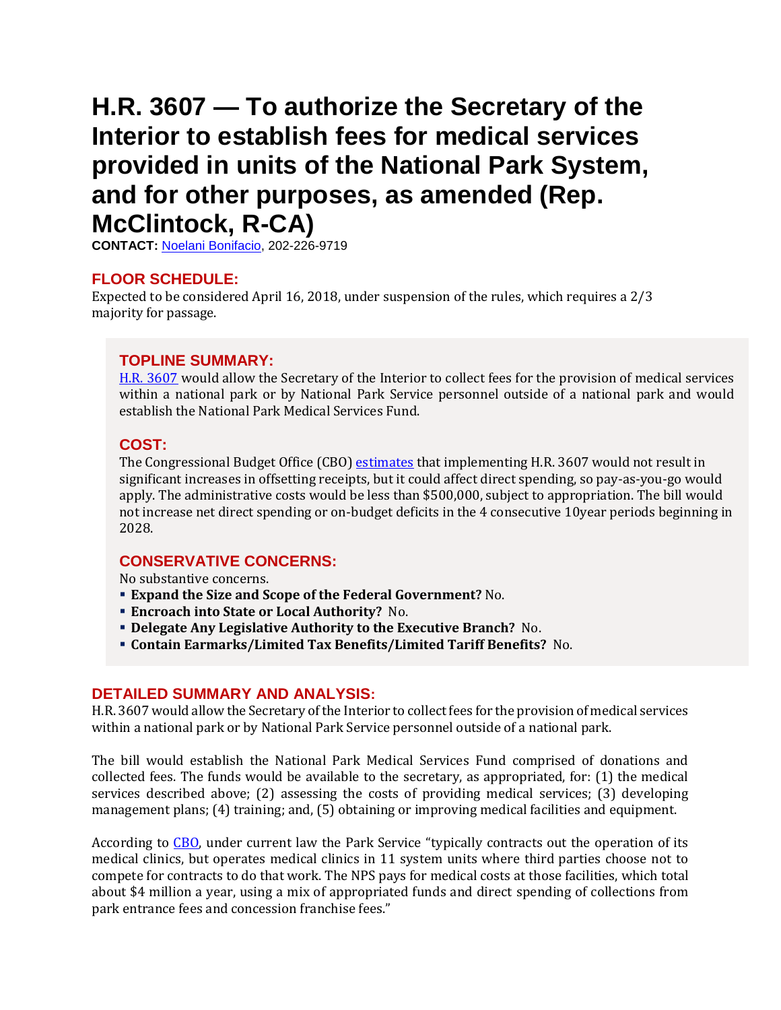# <span id="page-1-0"></span>**H.R. 3607 — To authorize the Secretary of the Interior to establish fees for medical services provided in units of the National Park System, and for other purposes, as amended (Rep. McClintock, R-CA)**

**CONTACT:** [Noelani Bonifacio,](mailto:Noelani.Bonifacio@mail.house.gov) 202-226-9719

### **FLOOR SCHEDULE:**

Expected to be considered April 16, 2018, under suspension of the rules, which requires a 2/3 majority for passage.

#### **TOPLINE SUMMARY:**

[H.R. 3607](http://docs.house.gov/billsthisweek/20180416/HR3607.pdf) would allow the Secretary of the Interior to collect fees for the provision of medical services within a national park or by National Park Service personnel outside of a national park and would establish the National Park Medical Services Fund.

#### **COST:**

The Congressional Budget Office (CBO) [estimates](https://www.cbo.gov/system/files/115th-congress-2017-2018/costestimate/hr3607.pdf) that implementing H.R. 3607 would not result in significant increases in offsetting receipts, but it could affect direct spending, so pay-as-you-go would apply. The administrative costs would be less than \$500,000, subject to appropriation. The bill would not increase net direct spending or on-budget deficits in the 4 consecutive 10year periods beginning in 2028.

#### **CONSERVATIVE CONCERNS:**

No substantive concerns.

- **Expand the Size and Scope of the Federal Government?** No.
- **Encroach into State or Local Authority?** No.
- **Delegate Any Legislative Authority to the Executive Branch?** No.
- **Contain Earmarks/Limited Tax Benefits/Limited Tariff Benefits?** No.

#### **DETAILED SUMMARY AND ANALYSIS:**

H.R. 3607 would allow the Secretary of the Interior to collect fees for the provision of medical services within a national park or by National Park Service personnel outside of a national park.

The bill would establish the National Park Medical Services Fund comprised of donations and collected fees. The funds would be available to the secretary, as appropriated, for: (1) the medical services described above; (2) assessing the costs of providing medical services; (3) developing management plans; (4) training; and, (5) obtaining or improving medical facilities and equipment.

According to [CBO](https://www.cbo.gov/system/files/115th-congress-2017-2018/costestimate/hr3607.pdf), under current law the Park Service "typically contracts out the operation of its medical clinics, but operates medical clinics in 11 system units where third parties choose not to compete for contracts to do that work. The NPS pays for medical costs at those facilities, which total about \$4 million a year, using a mix of appropriated funds and direct spending of collections from park entrance fees and concession franchise fees."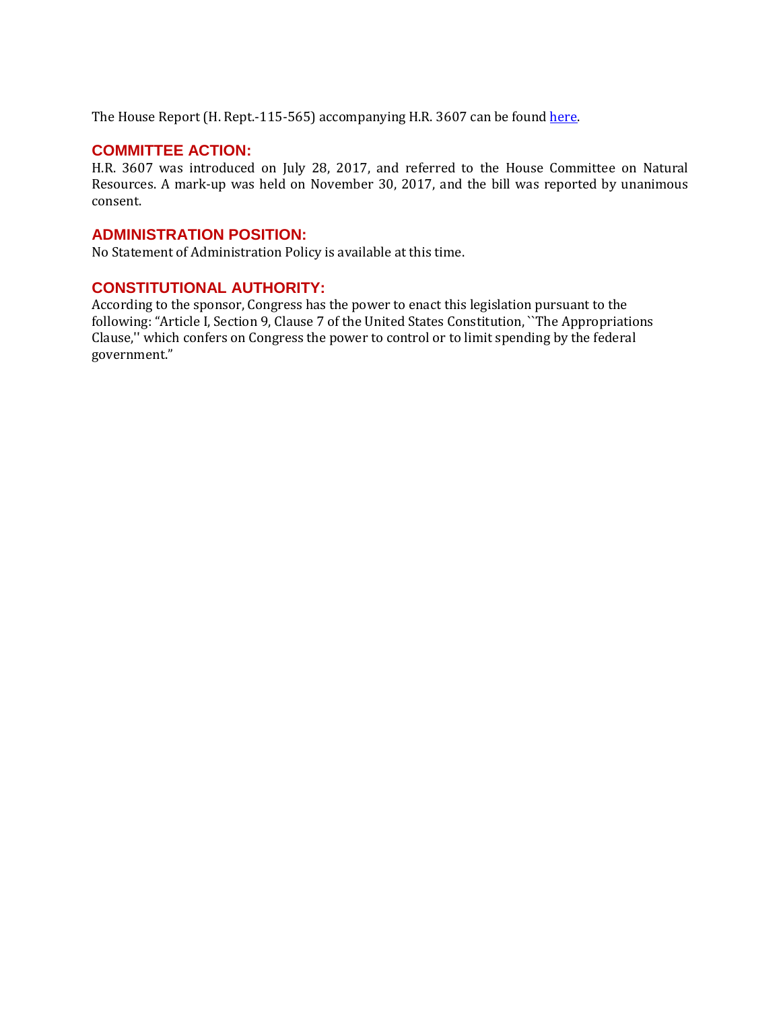The House Report (H. Rept.-115-565) accompanying H.R. 3607 can be foun[d here.](https://www.congress.gov/115/crpt/hrpt565/CRPT-115hrpt565.pdf)

#### **COMMITTEE ACTION:**

H.R. 3607 was introduced on July 28, 2017, and referred to the House Committee on Natural Resources. A mark-up was held on November 30, 2017, and the bill was reported by unanimous consent.

### **ADMINISTRATION POSITION:**

No Statement of Administration Policy is available at this time.

#### **CONSTITUTIONAL AUTHORITY:**

According to the sponsor, Congress has the power to enact this legislation pursuant to the following: "Article I, Section 9, Clause 7 of the United States Constitution, ``The Appropriations Clause,'' which confers on Congress the power to control or to limit spending by the federal government."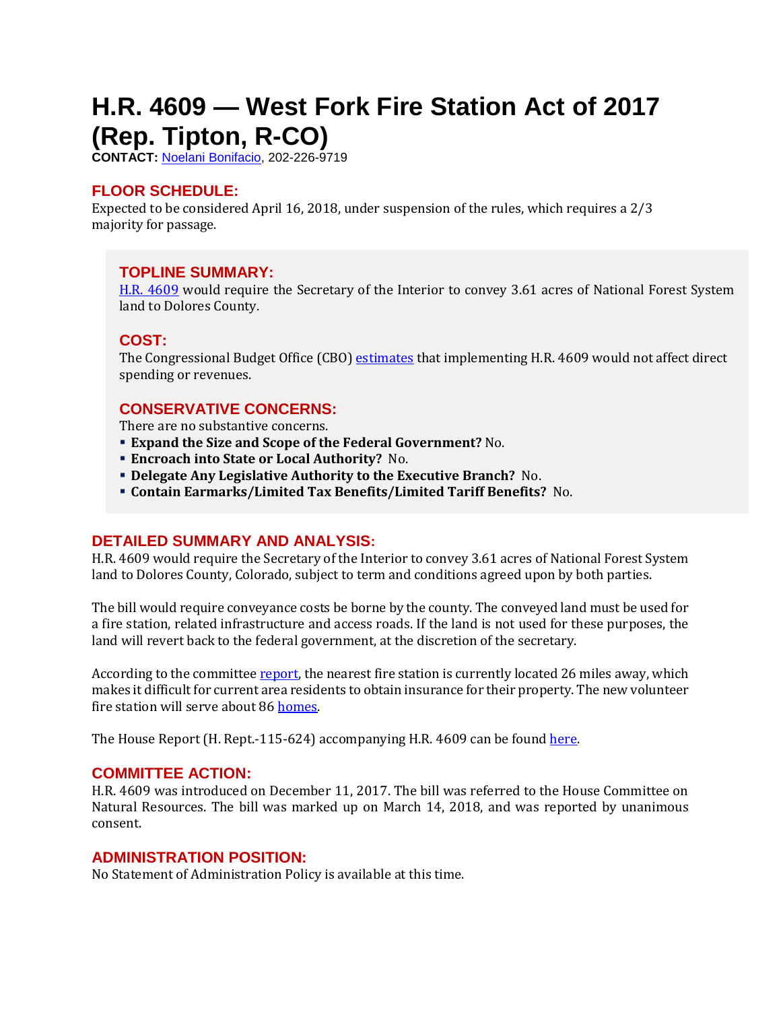# <span id="page-3-0"></span>**H.R. 4609 — West Fork Fire Station Act of 2017 (Rep. Tipton, R-CO)**

**CONTACT:** [Noelani Bonifacio,](mailto:Noelani.Bonifacio@mail.house.gov) 202-226-9719

### **FLOOR SCHEDULE:**

Expected to be considered April 16, 2018, under suspension of the rules, which requires a 2/3 majority for passage.

#### **TOPLINE SUMMARY:**

[H.R. 4609](http://docs.house.gov/billsthisweek/20180416/HR4609.pdf) would require the Secretary of the Interior to convey 3.61 acres of National Forest System land to Dolores County.

#### **COST:**

The Congressional Budget Office (CBO) [estimates](https://www.cbo.gov/system/files/115th-congress-2017-2018/costestimate/hr4609.pdf) that implementing H.R. 4609 would not affect direct spending or revenues.

# **CONSERVATIVE CONCERNS:**

There are no substantive concerns.

- **Expand the Size and Scope of the Federal Government?** No.
- **Encroach into State or Local Authority?** No.
- **Delegate Any Legislative Authority to the Executive Branch?** No.
- **Contain Earmarks/Limited Tax Benefits/Limited Tariff Benefits?** No.

# **DETAILED SUMMARY AND ANALYSIS:**

H.R. 4609 would require the Secretary of the Interior to convey 3.61 acres of National Forest System land to Dolores County, Colorado, subject to term and conditions agreed upon by both parties.

The bill would require conveyance costs be borne by the county. The conveyed land must be used for a fire station, related infrastructure and access roads. If the land is not used for these purposes, the land will revert back to the federal government, at the discretion of the secretary.

According to the committee [report,](https://www.congress.gov/115/crpt/hrpt624/CRPT-115hrpt624.pdf) the nearest fire station is currently located 26 miles away, which makes it difficult for current area residents to obtain insurance for their property. The new volunteer fire station will serve about 8[6 homes.](https://the-journal.com/articles/69345)

The House Report (H. Rept.-115-624) accompanying H.R. 4609 can be foun[d here.](https://www.congress.gov/115/crpt/hrpt624/CRPT-115hrpt624.pdf)

#### **COMMITTEE ACTION:**

H.R. 4609 was introduced on December 11, 2017. The bill was referred to the House Committee on Natural Resources. The bill was marked up on March 14, 2018, and was reported by unanimous consent.

#### **ADMINISTRATION POSITION:**

No Statement of Administration Policy is available at this time.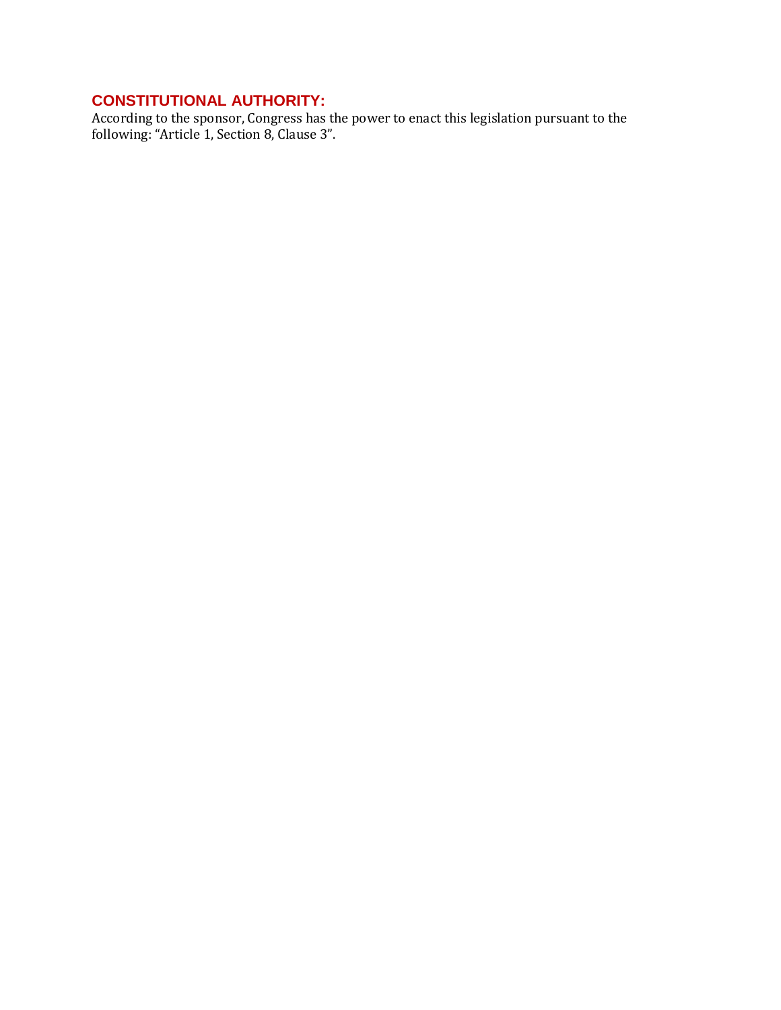# **CONSTITUTIONAL AUTHORITY:**

According to the sponsor, Congress has the power to enact this legislation pursuant to the following: "Article 1, Section 8, Clause 3".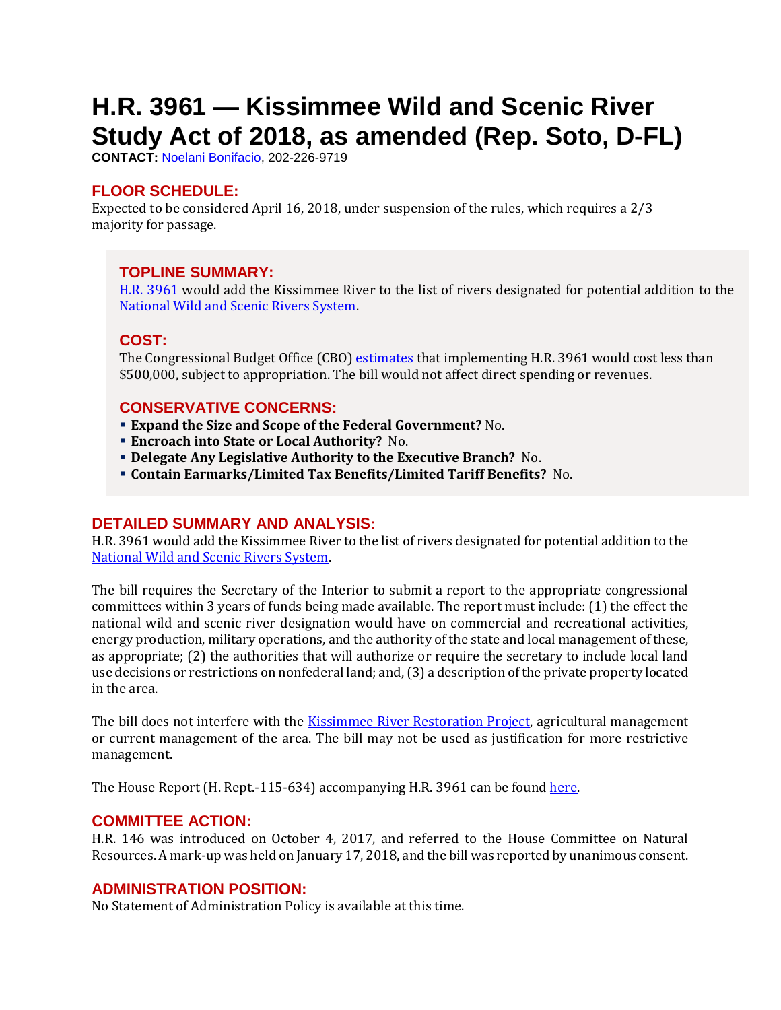# <span id="page-5-0"></span>**H.R. 3961 — Kissimmee Wild and Scenic River Study Act of 2018, as amended (Rep. Soto, D-FL)**

**CONTACT:** [Noelani Bonifacio,](mailto:Noelani.Bonifacio@mail.house.gov) 202-226-9719

# **FLOOR SCHEDULE:**

Expected to be considered April 16, 2018, under suspension of the rules, which requires a 2/3 majority for passage.

# **TOPLINE SUMMARY:**

[H.R. 3961](http://docs.house.gov/billsthisweek/20180416/HR3961.pdf) would add the Kissimmee River to the list of rivers designated for potential addition to the [National Wild and Scenic Rivers System.](https://www.nps.gov/orgs/1912/index.htm)

### **COST:**

The Congressional Budget Office (CBO) [estimates](https://www.cbo.gov/publication/53614) that implementing H.R. 3961 would cost less than \$500,000, subject to appropriation. The bill would not affect direct spending or revenues.

# **CONSERVATIVE CONCERNS:**

- **Expand the Size and Scope of the Federal Government?** No.
- **Encroach into State or Local Authority?** No.
- **Delegate Any Legislative Authority to the Executive Branch?** No.
- **Contain Earmarks/Limited Tax Benefits/Limited Tariff Benefits?** No.

# **DETAILED SUMMARY AND ANALYSIS:**

H.R. 3961 would add the Kissimmee River to the list of rivers designated for potential addition to the [National Wild and Scenic Rivers System.](https://www.nps.gov/orgs/1912/index.htm)

The bill requires the Secretary of the Interior to submit a report to the appropriate congressional committees within 3 years of funds being made available. The report must include: (1) the effect the national wild and scenic river designation would have on commercial and recreational activities, energy production, military operations, and the authority of the state and local management of these, as appropriate; (2) the authorities that will authorize or require the secretary to include local land use decisions or restrictions on nonfederal land; and, (3) a description of the private property located in the area.

The bill does not interfere with the [Kissimmee River Restoration Project,](https://www.sfwmd.gov/our-work/kissimmee-river) agricultural management or current management of the area. The bill may not be used as justification for more restrictive management.

The House Report (H. Rept.-115-634) accompanying H.R. 3961 can be foun[d here.](https://www.congress.gov/115/crpt/hrpt634/CRPT-115hrpt634.pdf)

# **COMMITTEE ACTION:**

H.R. 146 was introduced on October 4, 2017, and referred to the House Committee on Natural Resources. A mark-up was held on January 17, 2018, and the bill was reported by unanimous consent.

# **ADMINISTRATION POSITION:**

No Statement of Administration Policy is available at this time.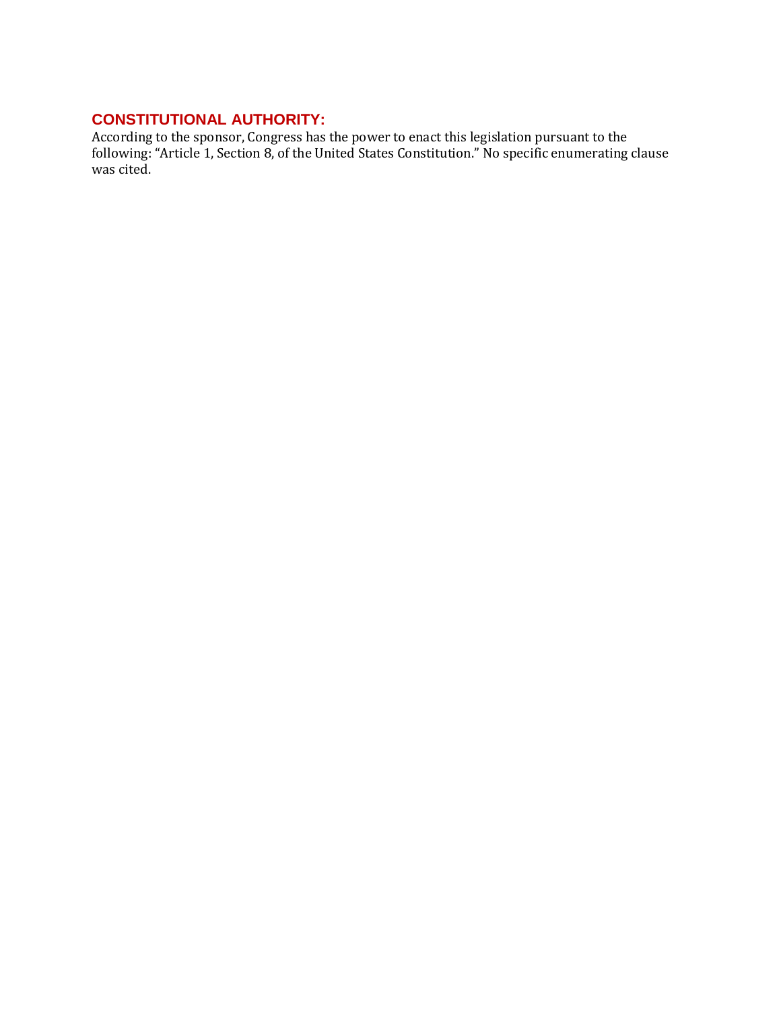# **CONSTITUTIONAL AUTHORITY:**

According to the sponsor, Congress has the power to enact this legislation pursuant to the following: "Article 1, Section 8, of the United States Constitution." No specific enumerating clause was cited.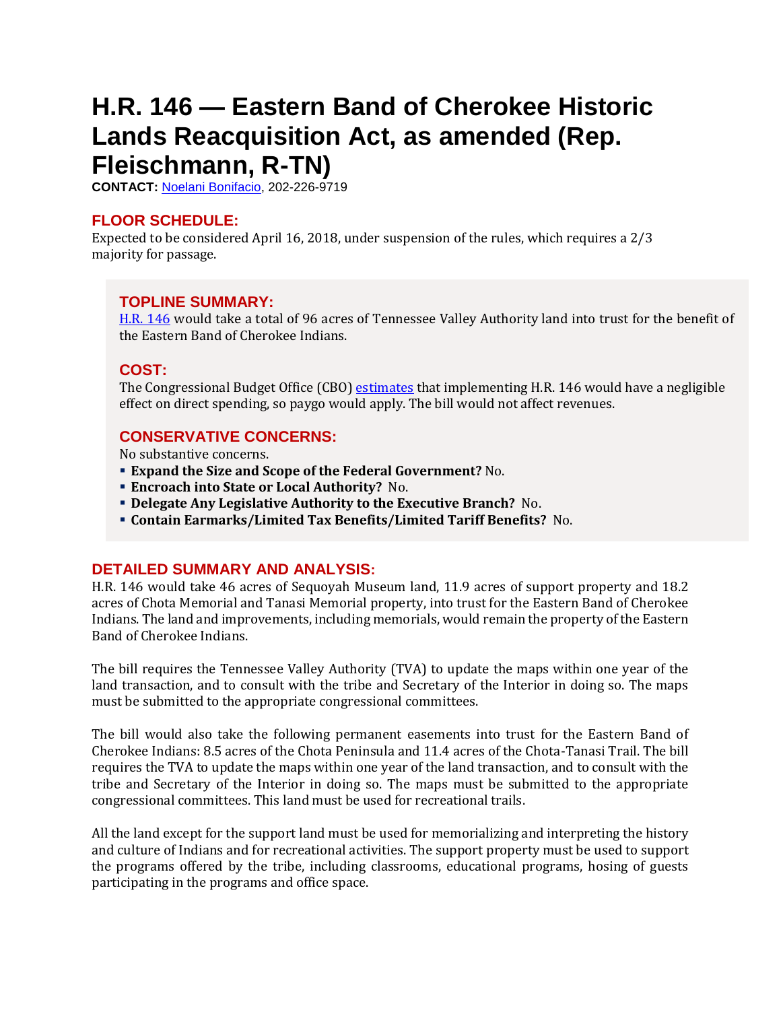# <span id="page-7-0"></span>**H.R. 146 — Eastern Band of Cherokee Historic Lands Reacquisition Act, as amended (Rep. Fleischmann, R-TN)**

**CONTACT:** [Noelani Bonifacio,](mailto:Noelani.Bonifacio@mail.house.gov) 202-226-9719

# **FLOOR SCHEDULE:**

Expected to be considered April 16, 2018, under suspension of the rules, which requires a 2/3 majority for passage.

### **TOPLINE SUMMARY:**

[H.R. 146](http://docs.house.gov/billsthisweek/20180416/HR146.pdf) would take a total of 96 acres of Tennessee Valley Authority land into trust for the benefit of the Eastern Band of Cherokee Indians.

# **COST:**

The Congressional Budget Office (CBO) [estimates](https://www.cbo.gov/publication/53614) that implementing H.R. 146 would have a negligible effect on direct spending, so paygo would apply. The bill would not affect revenues.

### **CONSERVATIVE CONCERNS:**

No substantive concerns.

- **Expand the Size and Scope of the Federal Government?** No.
- **Encroach into State or Local Authority?** No.
- **Delegate Any Legislative Authority to the Executive Branch?** No.
- **Contain Earmarks/Limited Tax Benefits/Limited Tariff Benefits?** No.

#### **DETAILED SUMMARY AND ANALYSIS:**

H.R. 146 would take 46 acres of Sequoyah Museum land, 11.9 acres of support property and 18.2 acres of Chota Memorial and Tanasi Memorial property, into trust for the Eastern Band of Cherokee Indians. The land and improvements, including memorials, would remain the property of the Eastern Band of Cherokee Indians.

The bill requires the Tennessee Valley Authority (TVA) to update the maps within one year of the land transaction, and to consult with the tribe and Secretary of the Interior in doing so. The maps must be submitted to the appropriate congressional committees.

The bill would also take the following permanent easements into trust for the Eastern Band of Cherokee Indians: 8.5 acres of the Chota Peninsula and 11.4 acres of the Chota-Tanasi Trail. The bill requires the TVA to update the maps within one year of the land transaction, and to consult with the tribe and Secretary of the Interior in doing so. The maps must be submitted to the appropriate congressional committees. This land must be used for recreational trails.

All the land except for the support land must be used for memorializing and interpreting the history and culture of Indians and for recreational activities. The support property must be used to support the programs offered by the tribe, including classrooms, educational programs, hosing of guests participating in the programs and office space.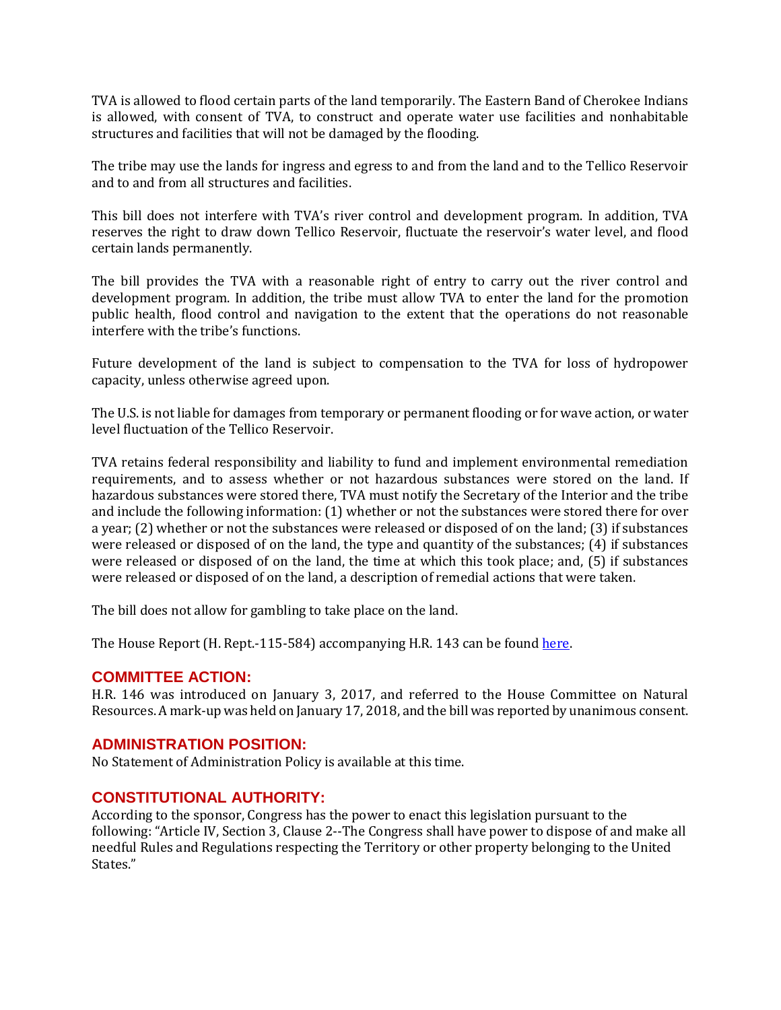TVA is allowed to flood certain parts of the land temporarily. The Eastern Band of Cherokee Indians is allowed, with consent of TVA, to construct and operate water use facilities and nonhabitable structures and facilities that will not be damaged by the flooding.

The tribe may use the lands for ingress and egress to and from the land and to the Tellico Reservoir and to and from all structures and facilities.

This bill does not interfere with TVA's river control and development program. In addition, TVA reserves the right to draw down Tellico Reservoir, fluctuate the reservoir's water level, and flood certain lands permanently.

The bill provides the TVA with a reasonable right of entry to carry out the river control and development program. In addition, the tribe must allow TVA to enter the land for the promotion public health, flood control and navigation to the extent that the operations do not reasonable interfere with the tribe's functions.

Future development of the land is subject to compensation to the TVA for loss of hydropower capacity, unless otherwise agreed upon.

The U.S. is not liable for damages from temporary or permanent flooding or for wave action, or water level fluctuation of the Tellico Reservoir.

TVA retains federal responsibility and liability to fund and implement environmental remediation requirements, and to assess whether or not hazardous substances were stored on the land. If hazardous substances were stored there, TVA must notify the Secretary of the Interior and the tribe and include the following information: (1) whether or not the substances were stored there for over a year; (2) whether or not the substances were released or disposed of on the land; (3) if substances were released or disposed of on the land, the type and quantity of the substances; (4) if substances were released or disposed of on the land, the time at which this took place; and, (5) if substances were released or disposed of on the land, a description of remedial actions that were taken.

The bill does not allow for gambling to take place on the land.

The House Report (H. Rept.-115-584) accompanying H.R. 143 can be found here.

#### **COMMITTEE ACTION:**

H.R. 146 was introduced on January 3, 2017, and referred to the House Committee on Natural Resources. A mark-up was held on January 17, 2018, and the bill was reported by unanimous consent.

#### **ADMINISTRATION POSITION:**

No Statement of Administration Policy is available at this time.

#### **CONSTITUTIONAL AUTHORITY:**

According to the sponsor, Congress has the power to enact this legislation pursuant to the following: "Article IV, Section 3, Clause 2--The Congress shall have power to dispose of and make all needful Rules and Regulations respecting the Territory or other property belonging to the United States."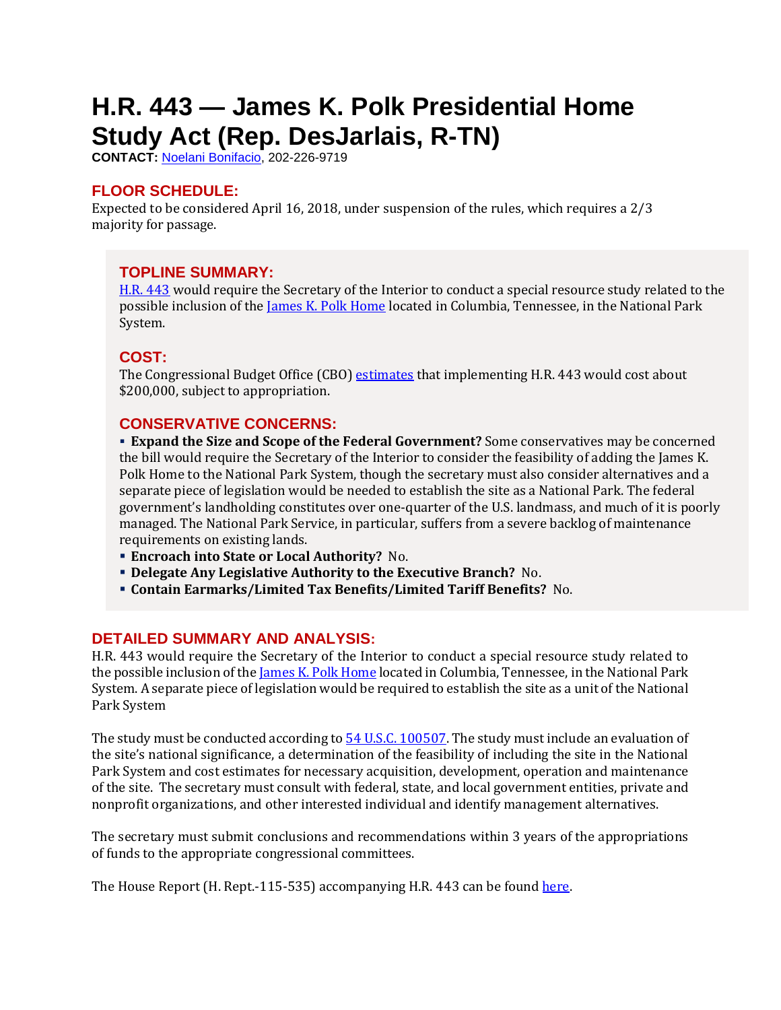# <span id="page-9-0"></span>**H.R. 443 — James K. Polk Presidential Home Study Act (Rep. DesJarlais, R-TN)**

**CONTACT:** [Noelani Bonifacio,](mailto:Noelani.Bonifacio@mail.house.gov) 202-226-9719

# **FLOOR SCHEDULE:**

Expected to be considered April 16, 2018, under suspension of the rules, which requires a 2/3 majority for passage.

# **TOPLINE SUMMARY:**

[H.R. 443](http://docs.house.gov/billsthisweek/20180416/HR443.pdf) would require the Secretary of the Interior to conduct a special resource study related to the possible inclusion of the [James K. Polk Home](http://www.jameskpolk.com/) located in Columbia, Tennessee, in the National Park System.

# **COST:**

The Congressional Budget Office (CBO) [estimates](https://www.cbo.gov/system/files/115th-congress-2017-2018/costestimate/hr443.pdf) that implementing H.R. 443 would cost about \$200,000, subject to appropriation.

# **CONSERVATIVE CONCERNS:**

 **Expand the Size and Scope of the Federal Government?** Some conservatives may be concerned the bill would require the Secretary of the Interior to consider the feasibility of adding the James K. Polk Home to the National Park System, though the secretary must also consider alternatives and a separate piece of legislation would be needed to establish the site as a National Park. The federal government's landholding constitutes over one-quarter of the U.S. landmass, and much of it is poorly managed. The National Park Service, in particular, suffers from a severe backlog of maintenance requirements on existing lands.

- **Encroach into State or Local Authority?** No.
- **Delegate Any Legislative Authority to the Executive Branch?** No.
- **Contain Earmarks/Limited Tax Benefits/Limited Tariff Benefits?** No.

# **DETAILED SUMMARY AND ANALYSIS:**

H.R. 443 would require the Secretary of the Interior to conduct a special resource study related to the possible inclusion of the *James K. Polk Home* located in Columbia, Tennessee, in the National Park System. A separate piece of legislation would be required to establish the site as a unit of the National Park System

The study must be conducted according to  $54$  U.S.C. 100507. The study must include an evaluation of the site's national significance, a determination of the feasibility of including the site in the National Park System and cost estimates for necessary acquisition, development, operation and maintenance of the site. The secretary must consult with federal, state, and local government entities, private and nonprofit organizations, and other interested individual and identify management alternatives.

The secretary must submit conclusions and recommendations within 3 years of the appropriations of funds to the appropriate congressional committees.

The House Report (H. Rept.-115-535) accompanying H.R. 443 can be found [here.](https://www.congress.gov/115/crpt/hrpt535/CRPT-115hrpt535.pdf)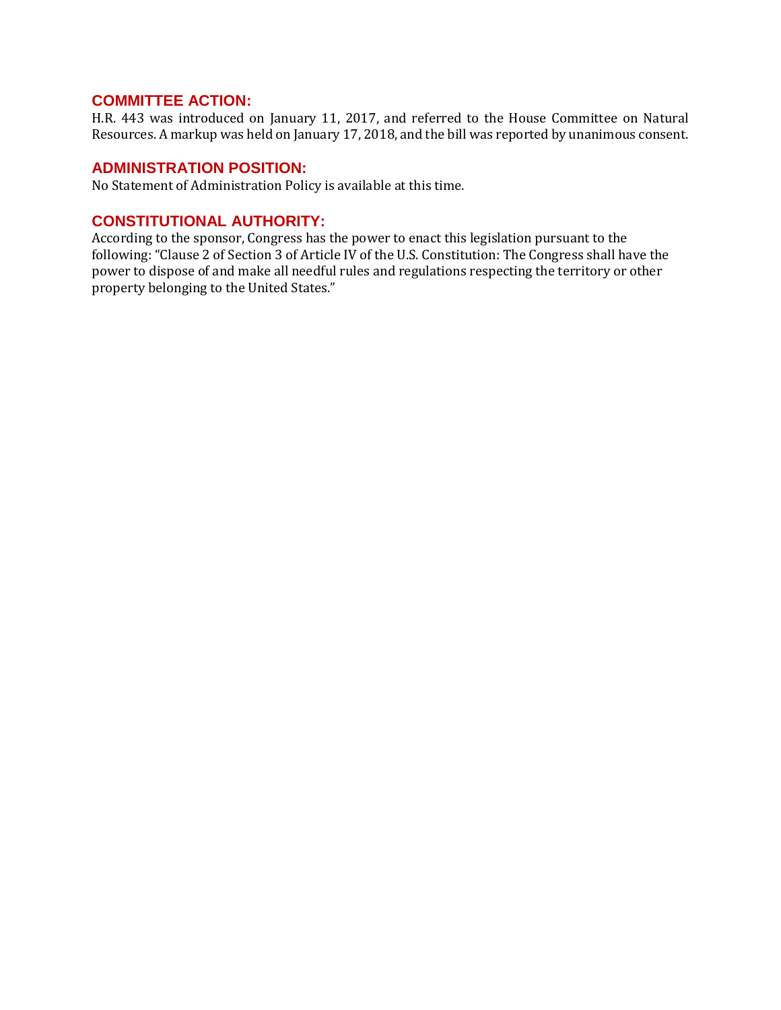### **COMMITTEE ACTION:**

H.R. 443 was introduced on January 11, 2017, and referred to the House Committee on Natural Resources. A markup was held on January 17, 2018, and the bill was reported by unanimous consent.

#### **ADMINISTRATION POSITION:**

No Statement of Administration Policy is available at this time.

#### **CONSTITUTIONAL AUTHORITY:**

According to the sponsor, Congress has the power to enact this legislation pursuant to the following: "Clause 2 of Section 3 of Article IV of the U.S. Constitution: The Congress shall have the power to dispose of and make all needful rules and regulations respecting the territory or other property belonging to the United States."